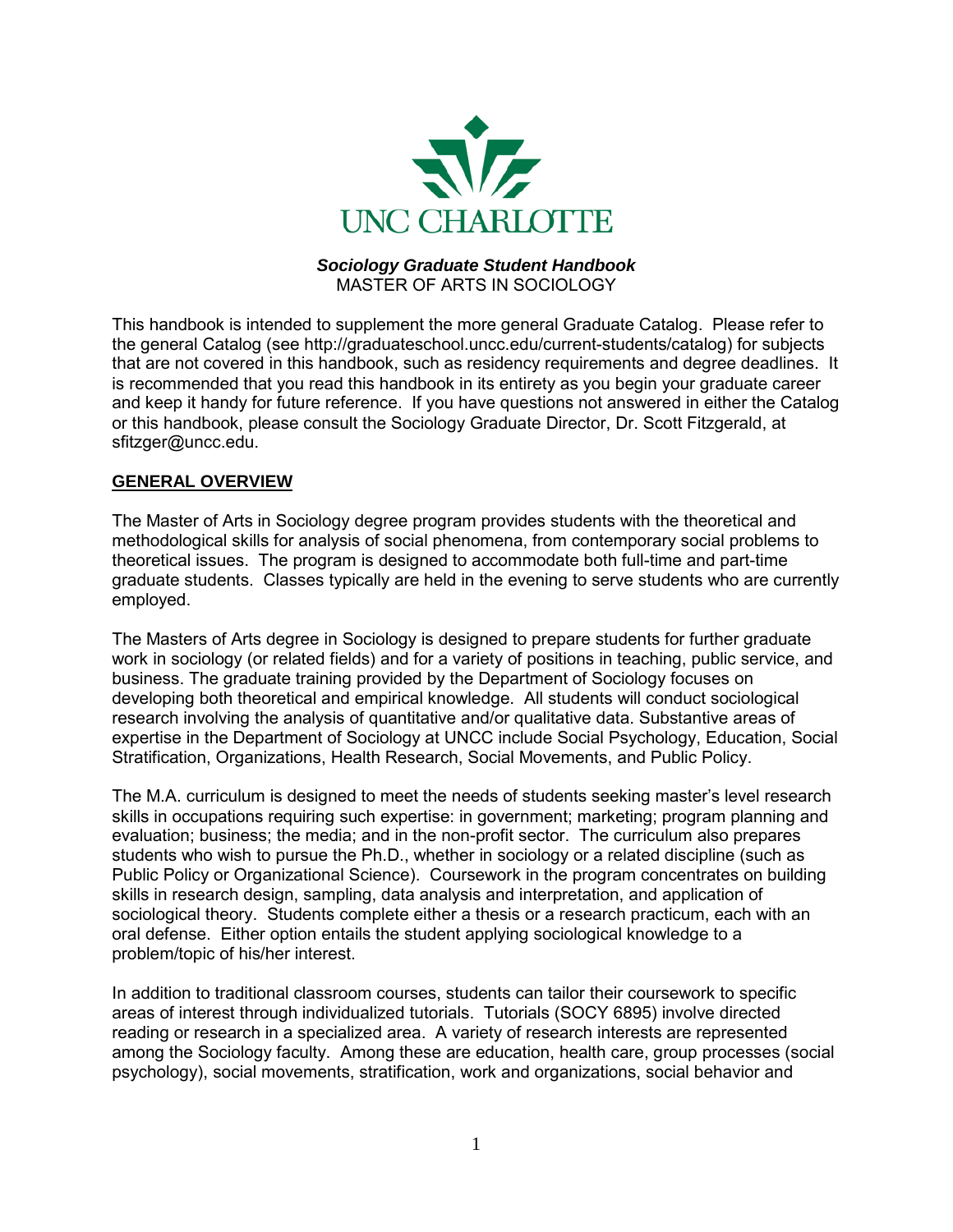

#### *Sociology Graduate Student Handbook* MASTER OF ARTS IN SOCIOLOGY

This handbook is intended to supplement the more general Graduate Catalog. Please refer to the general Catalog (see http://graduateschool.uncc.edu/current-students/catalog) for subjects that are not covered in this handbook, such as residency requirements and degree deadlines. It is recommended that you read this handbook in its entirety as you begin your graduate career and keep it handy for future reference. If you have questions not answered in either the Catalog or this handbook, please consult the Sociology Graduate Director, Dr. Scott Fitzgerald, at sfitzger@uncc.edu.

#### **GENERAL OVERVIEW**

The Master of Arts in Sociology degree program provides students with the theoretical and methodological skills for analysis of social phenomena, from contemporary social problems to theoretical issues. The program is designed to accommodate both full-time and part-time graduate students. Classes typically are held in the evening to serve students who are currently employed.

The Masters of Arts degree in Sociology is designed to prepare students for further graduate work in sociology (or related fields) and for a variety of positions in teaching, public service, and business. The graduate training provided by the Department of Sociology focuses on developing both theoretical and empirical knowledge. All students will conduct sociological research involving the analysis of quantitative and/or qualitative data. Substantive areas of expertise in the Department of Sociology at UNCC include Social Psychology, Education, Social Stratification, Organizations, Health Research, Social Movements, and Public Policy.

The M.A. curriculum is designed to meet the needs of students seeking master's level research skills in occupations requiring such expertise: in government; marketing; program planning and evaluation; business; the media; and in the non-profit sector. The curriculum also prepares students who wish to pursue the Ph.D., whether in sociology or a related discipline (such as Public Policy or Organizational Science). Coursework in the program concentrates on building skills in research design, sampling, data analysis and interpretation, and application of sociological theory. Students complete either a thesis or a research practicum, each with an oral defense. Either option entails the student applying sociological knowledge to a problem/topic of his/her interest.

In addition to traditional classroom courses, students can tailor their coursework to specific areas of interest through individualized tutorials. Tutorials (SOCY 6895) involve directed reading or research in a specialized area. A variety of research interests are represented among the Sociology faculty. Among these are education, health care, group processes (social psychology), social movements, stratification, work and organizations, social behavior and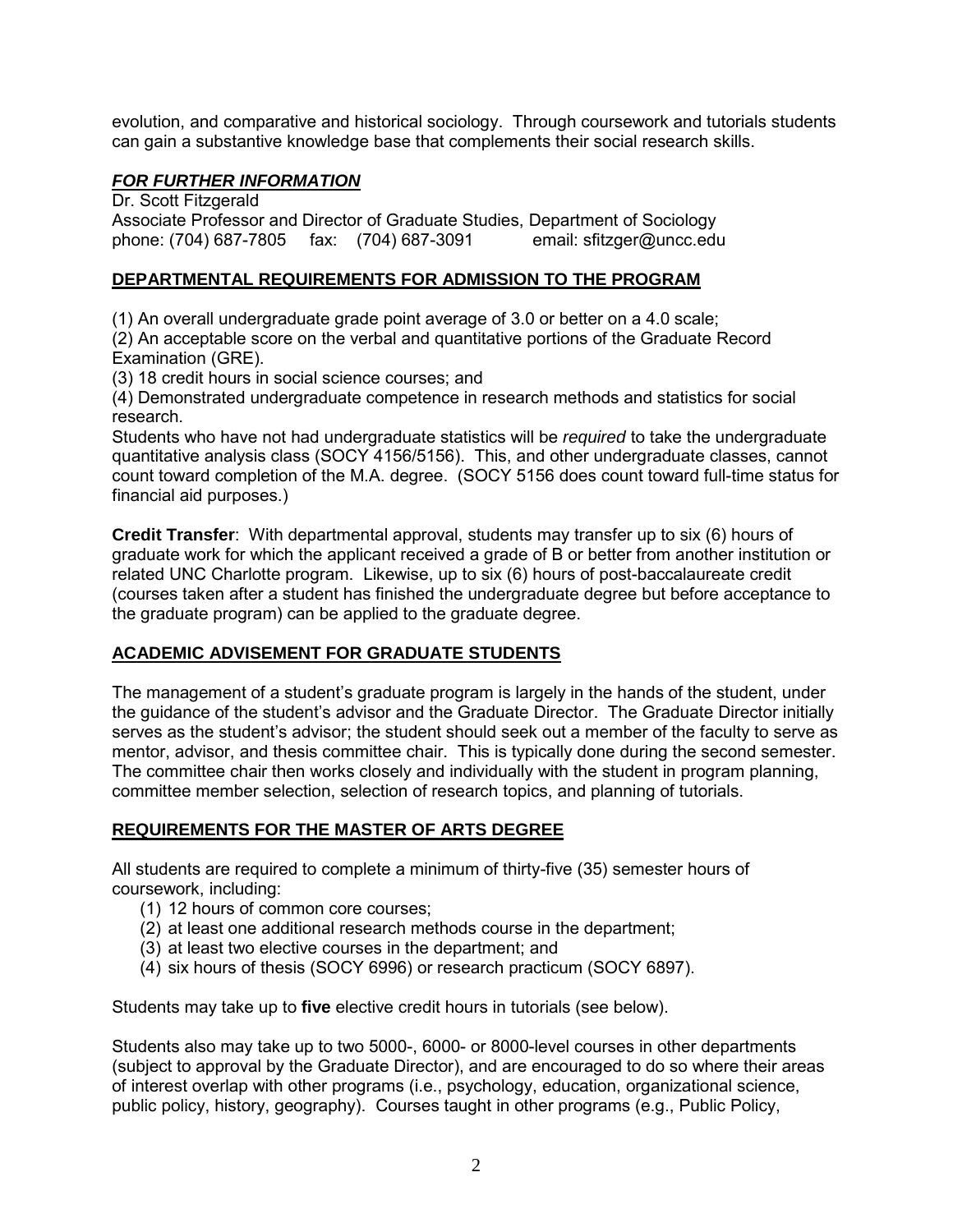evolution, and comparative and historical sociology. Through coursework and tutorials students can gain a substantive knowledge base that complements their social research skills.

## *FOR FURTHER INFORMATION*

Dr. Scott Fitzgerald Associate Professor and Director of Graduate Studies, Department of Sociology phone: (704) 687-7805 fax: (704) 687-3091 email: sfitzger@uncc.edu

## **DEPARTMENTAL REQUIREMENTS FOR ADMISSION TO THE PROGRAM**

(1) An overall undergraduate grade point average of 3.0 or better on a 4.0 scale; (2) An acceptable score on the verbal and quantitative portions of the Graduate Record

Examination (GRE).

(3) 18 credit hours in social science courses; and

(4) Demonstrated undergraduate competence in research methods and statistics for social research.

Students who have not had undergraduate statistics will be *required* to take the undergraduate quantitative analysis class (SOCY 4156/5156). This, and other undergraduate classes, cannot count toward completion of the M.A. degree. (SOCY 5156 does count toward full-time status for financial aid purposes.)

**Credit Transfer**: With departmental approval, students may transfer up to six (6) hours of graduate work for which the applicant received a grade of B or better from another institution or related UNC Charlotte program. Likewise, up to six (6) hours of post-baccalaureate credit (courses taken after a student has finished the undergraduate degree but before acceptance to the graduate program) can be applied to the graduate degree.

# **ACADEMIC ADVISEMENT FOR GRADUATE STUDENTS**

The management of a student's graduate program is largely in the hands of the student, under the guidance of the student's advisor and the Graduate Director. The Graduate Director initially serves as the student's advisor; the student should seek out a member of the faculty to serve as mentor, advisor, and thesis committee chair. This is typically done during the second semester. The committee chair then works closely and individually with the student in program planning, committee member selection, selection of research topics, and planning of tutorials.

#### **REQUIREMENTS FOR THE MASTER OF ARTS DEGREE**

All students are required to complete a minimum of thirty-five (35) semester hours of coursework, including:

- (1) 12 hours of common core courses;
- (2) at least one additional research methods course in the department;
- (3) at least two elective courses in the department; and
- (4) six hours of thesis (SOCY 6996) or research practicum (SOCY 6897).

Students may take up to **five** elective credit hours in tutorials (see below).

Students also may take up to two 5000-, 6000- or 8000-level courses in other departments (subject to approval by the Graduate Director), and are encouraged to do so where their areas of interest overlap with other programs (i.e., psychology, education, organizational science, public policy, history, geography). Courses taught in other programs (e.g., Public Policy,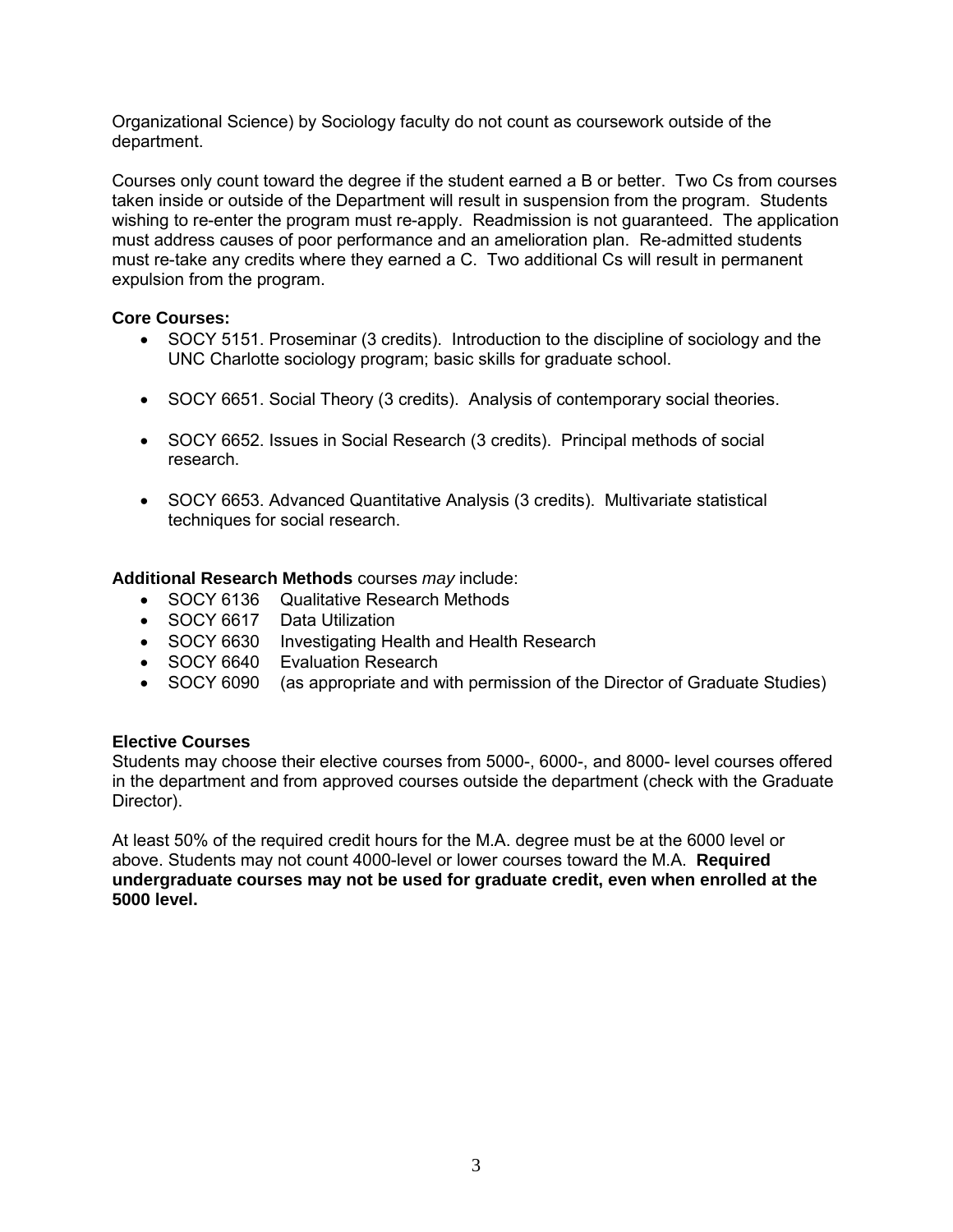Organizational Science) by Sociology faculty do not count as coursework outside of the department.

Courses only count toward the degree if the student earned a B or better. Two Cs from courses taken inside or outside of the Department will result in suspension from the program. Students wishing to re-enter the program must re-apply. Readmission is not guaranteed. The application must address causes of poor performance and an amelioration plan. Re-admitted students must re-take any credits where they earned a C. Two additional Cs will result in permanent expulsion from the program.

#### **Core Courses:**

- SOCY 5151. Proseminar (3 credits). Introduction to the discipline of sociology and the UNC Charlotte sociology program; basic skills for graduate school.
- SOCY 6651. Social Theory (3 credits). Analysis of contemporary social theories.
- SOCY 6652. Issues in Social Research (3 credits). Principal methods of social research.
- SOCY 6653. Advanced Quantitative Analysis (3 credits). Multivariate statistical techniques for social research.

#### **Additional Research Methods** courses *may* include:

- SOCY 6136 Qualitative Research Methods
- SOCY 6617 Data Utilization
- SOCY 6630 Investigating Health and Health Research
- SOCY 6640 Evaluation Research
- SOCY 6090 (as appropriate and with permission of the Director of Graduate Studies)

#### **Elective Courses**

Students may choose their elective courses from 5000-, 6000-, and 8000- level courses offered in the department and from approved courses outside the department (check with the Graduate Director).

At least 50% of the required credit hours for the M.A. degree must be at the 6000 level or above. Students may not count 4000-level or lower courses toward the M.A. **Required undergraduate courses may not be used for graduate credit, even when enrolled at the 5000 level.**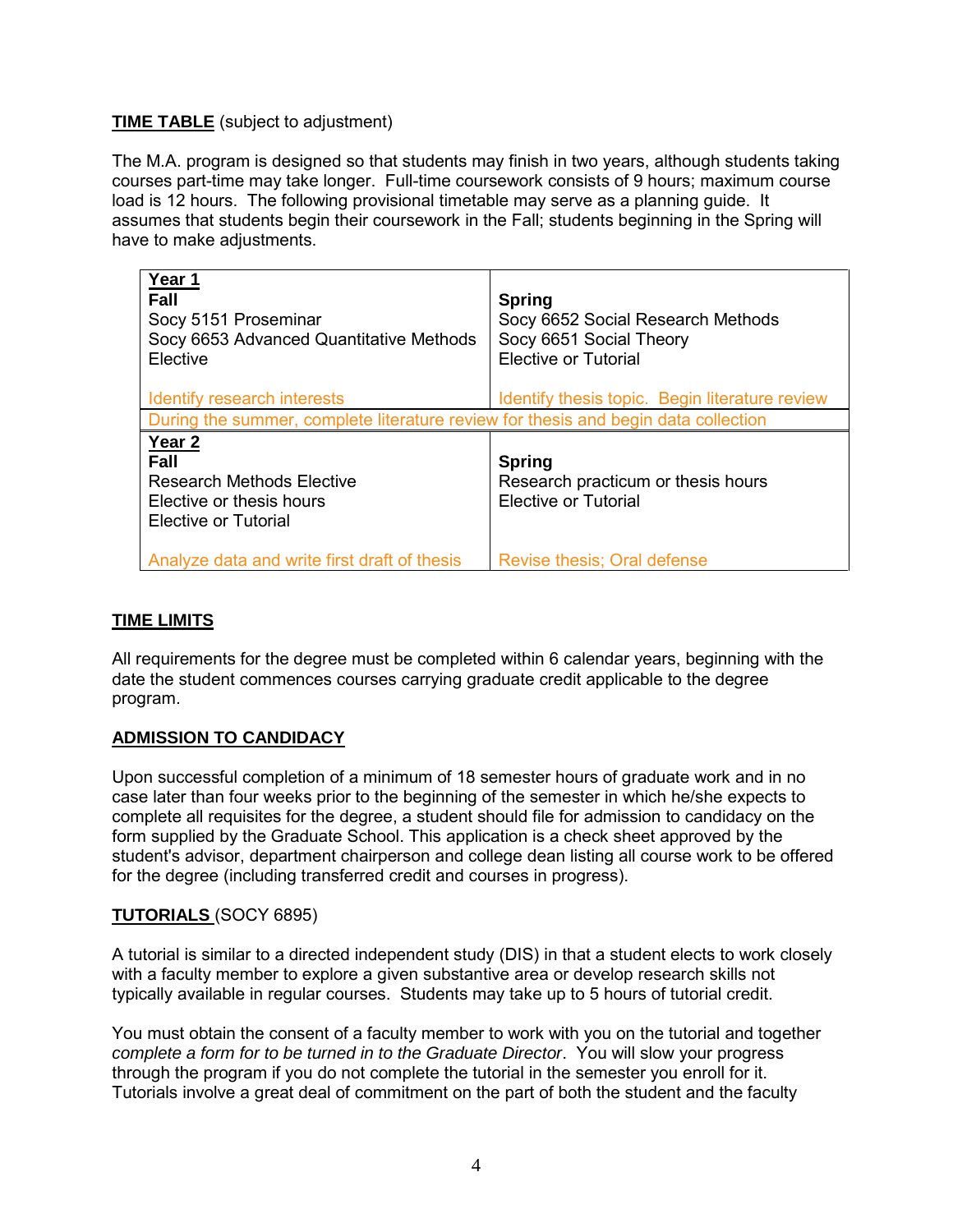## **TIME TABLE** (subject to adjustment)

The M.A. program is designed so that students may finish in two years, although students taking courses part-time may take longer. Full-time coursework consists of 9 hours; maximum course load is 12 hours. The following provisional timetable may serve as a planning guide. It assumes that students begin their coursework in the Fall; students beginning in the Spring will have to make adjustments.

| Year 1<br><b>Fall</b><br>Socy 5151 Proseminar<br>Socy 6653 Advanced Quantitative Methods<br>Elective              | <b>Spring</b><br>Socy 6652 Social Research Methods<br>Socy 6651 Social Theory<br><b>Elective or Tutorial</b> |
|-------------------------------------------------------------------------------------------------------------------|--------------------------------------------------------------------------------------------------------------|
| Identify research interests                                                                                       | Identify thesis topic. Begin literature review                                                               |
| During the summer, complete literature review for thesis and begin data collection                                |                                                                                                              |
| Year <sub>2</sub><br>Fall<br><b>Research Methods Elective</b><br>Elective or thesis hours<br>Elective or Tutorial | <b>Spring</b><br>Research practicum or thesis hours<br><b>Elective or Tutorial</b>                           |
| Analyze data and write first draft of thesis                                                                      | Revise thesis; Oral defense                                                                                  |

## **TIME LIMITS**

All requirements for the degree must be completed within 6 calendar years, beginning with the date the student commences courses carrying graduate credit applicable to the degree program.

# **ADMISSION TO CANDIDACY**

Upon successful completion of a minimum of 18 semester hours of graduate work and in no case later than four weeks prior to the beginning of the semester in which he/she expects to complete all requisites for the degree, a student should file for admission to candidacy on the form supplied by the Graduate School. This application is a check sheet approved by the student's advisor, department chairperson and college dean listing all course work to be offered for the degree (including transferred credit and courses in progress).

#### **TUTORIALS** (SOCY 6895)

A tutorial is similar to a directed independent study (DIS) in that a student elects to work closely with a faculty member to explore a given substantive area or develop research skills not typically available in regular courses. Students may take up to 5 hours of tutorial credit.

You must obtain the consent of a faculty member to work with you on the tutorial and together *complete a form for to be turned in to the Graduate Director*. You will slow your progress through the program if you do not complete the tutorial in the semester you enroll for it. Tutorials involve a great deal of commitment on the part of both the student and the faculty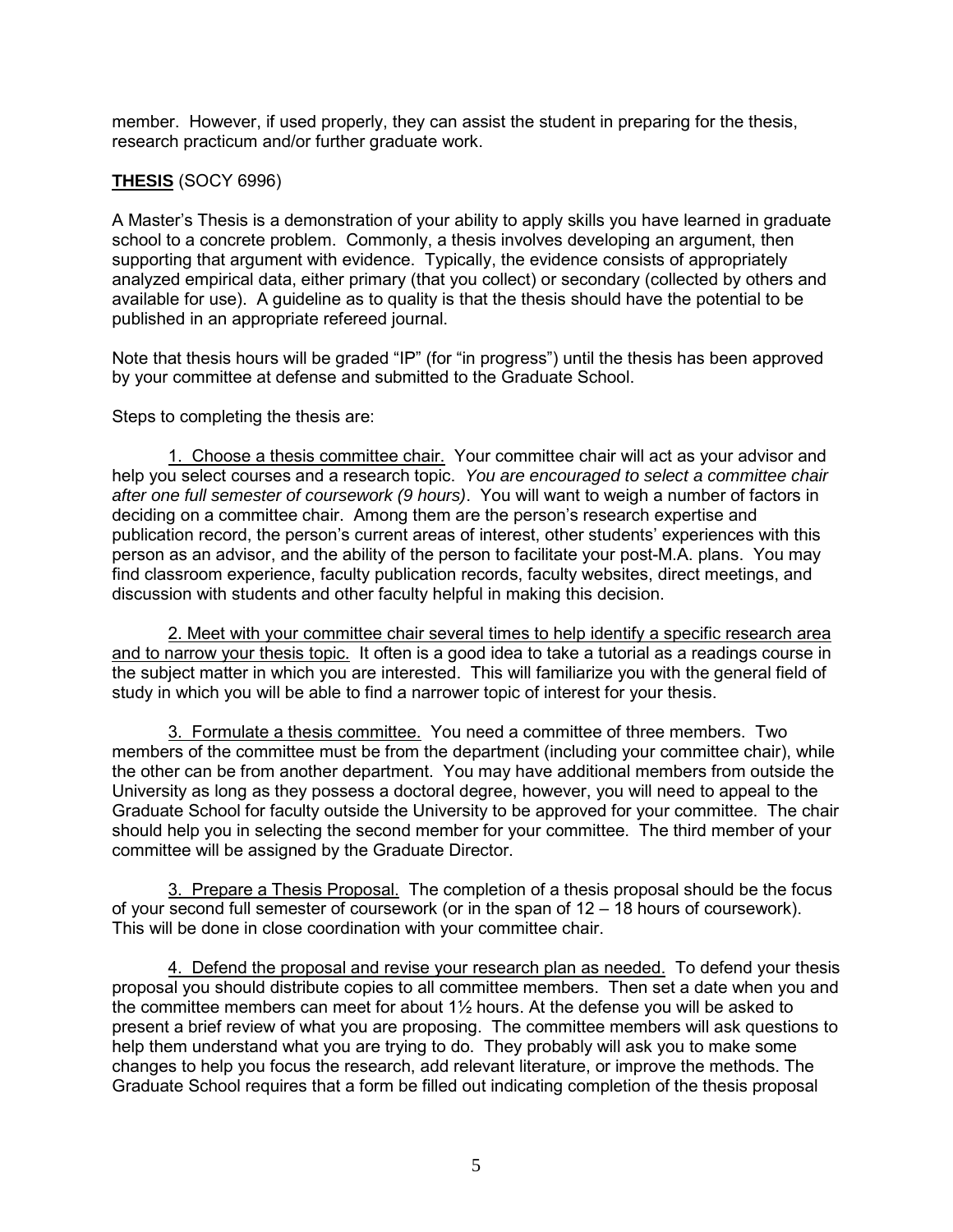member. However, if used properly, they can assist the student in preparing for the thesis, research practicum and/or further graduate work.

# **THESIS** (SOCY 6996)

A Master's Thesis is a demonstration of your ability to apply skills you have learned in graduate school to a concrete problem. Commonly, a thesis involves developing an argument, then supporting that argument with evidence. Typically, the evidence consists of appropriately analyzed empirical data, either primary (that you collect) or secondary (collected by others and available for use). A guideline as to quality is that the thesis should have the potential to be published in an appropriate refereed journal.

Note that thesis hours will be graded "IP" (for "in progress") until the thesis has been approved by your committee at defense and submitted to the Graduate School.

Steps to completing the thesis are:

1. Choose a thesis committee chair. Your committee chair will act as your advisor and help you select courses and a research topic. *You are encouraged to select a committee chair after one full semester of coursework (9 hours)*. You will want to weigh a number of factors in deciding on a committee chair. Among them are the person's research expertise and publication record, the person's current areas of interest, other students' experiences with this person as an advisor, and the ability of the person to facilitate your post-M.A. plans. You may find classroom experience, faculty publication records, faculty websites, direct meetings, and discussion with students and other faculty helpful in making this decision.

2. Meet with your committee chair several times to help identify a specific research area and to narrow your thesis topic. It often is a good idea to take a tutorial as a readings course in the subject matter in which you are interested. This will familiarize you with the general field of study in which you will be able to find a narrower topic of interest for your thesis.

3. Formulate a thesis committee. You need a committee of three members. Two members of the committee must be from the department (including your committee chair), while the other can be from another department. You may have additional members from outside the University as long as they possess a doctoral degree, however, you will need to appeal to the Graduate School for faculty outside the University to be approved for your committee. The chair should help you in selecting the second member for your committee. The third member of your committee will be assigned by the Graduate Director.

3. Prepare a Thesis Proposal. The completion of a thesis proposal should be the focus of your second full semester of coursework (or in the span of 12 – 18 hours of coursework). This will be done in close coordination with your committee chair.

4. Defend the proposal and revise your research plan as needed. To defend your thesis proposal you should distribute copies to all committee members. Then set a date when you and the committee members can meet for about 1½ hours. At the defense you will be asked to present a brief review of what you are proposing. The committee members will ask questions to help them understand what you are trying to do. They probably will ask you to make some changes to help you focus the research, add relevant literature, or improve the methods. The Graduate School requires that a form be filled out indicating completion of the thesis proposal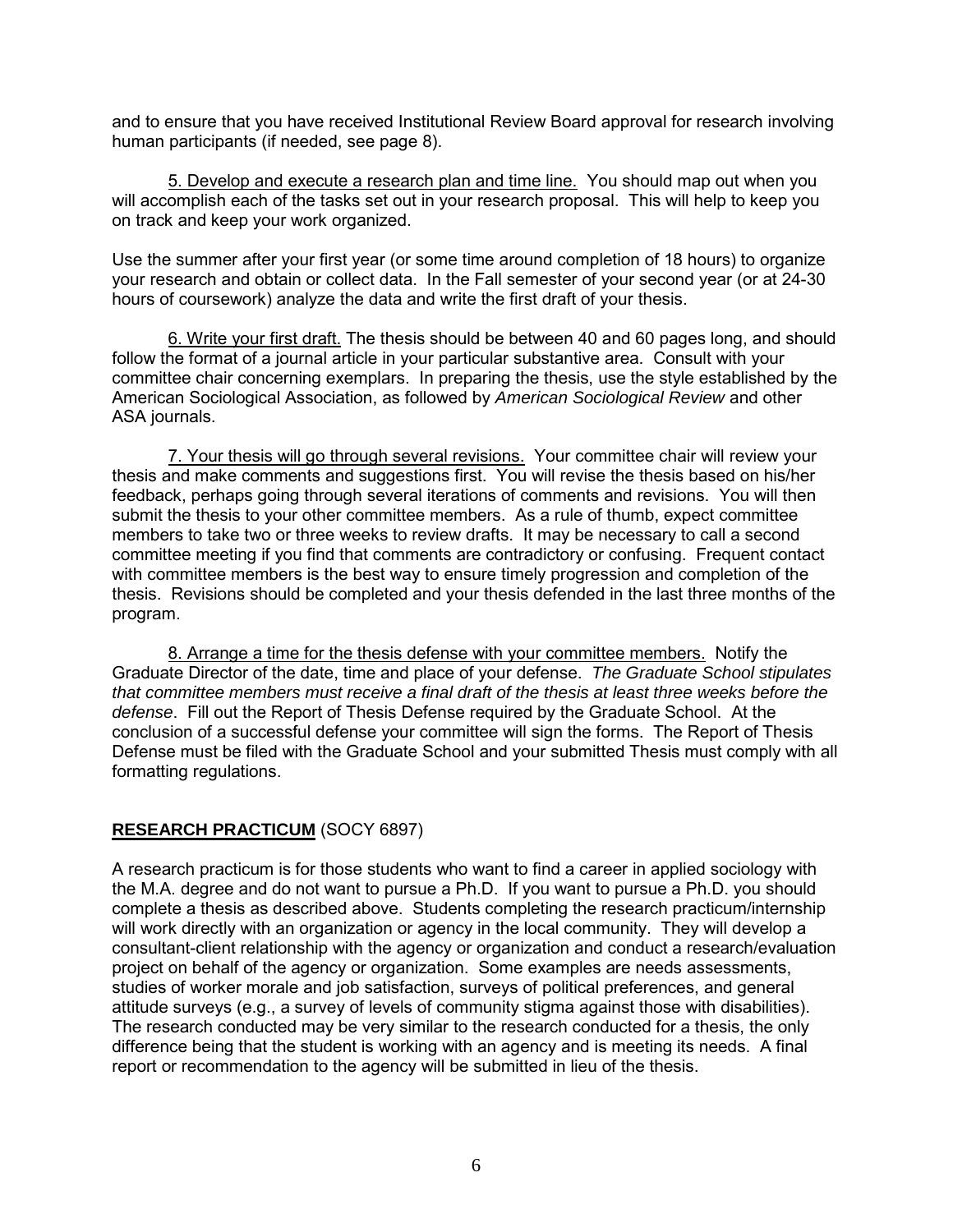and to ensure that you have received Institutional Review Board approval for research involving human participants (if needed, see page 8).

5. Develop and execute a research plan and time line. You should map out when you will accomplish each of the tasks set out in your research proposal. This will help to keep you on track and keep your work organized.

Use the summer after your first year (or some time around completion of 18 hours) to organize your research and obtain or collect data. In the Fall semester of your second year (or at 24-30 hours of coursework) analyze the data and write the first draft of your thesis.

 6. Write your first draft. The thesis should be between 40 and 60 pages long, and should follow the format of a journal article in your particular substantive area. Consult with your committee chair concerning exemplars. In preparing the thesis, use the style established by the American Sociological Association, as followed by *American Sociological Review* and other ASA journals.

 7. Your thesis will go through several revisions. Your committee chair will review your thesis and make comments and suggestions first. You will revise the thesis based on his/her feedback, perhaps going through several iterations of comments and revisions. You will then submit the thesis to your other committee members. As a rule of thumb, expect committee members to take two or three weeks to review drafts. It may be necessary to call a second committee meeting if you find that comments are contradictory or confusing. Frequent contact with committee members is the best way to ensure timely progression and completion of the thesis. Revisions should be completed and your thesis defended in the last three months of the program.

 8. Arrange a time for the thesis defense with your committee members. Notify the Graduate Director of the date, time and place of your defense. *The Graduate School stipulates that committee members must receive a final draft of the thesis at least three weeks before the defense*. Fill out the Report of Thesis Defense required by the Graduate School. At the conclusion of a successful defense your committee will sign the forms. The Report of Thesis Defense must be filed with the Graduate School and your submitted Thesis must comply with all formatting regulations.

#### **RESEARCH PRACTICUM** (SOCY 6897)

A research practicum is for those students who want to find a career in applied sociology with the M.A. degree and do not want to pursue a Ph.D. If you want to pursue a Ph.D. you should complete a thesis as described above. Students completing the research practicum/internship will work directly with an organization or agency in the local community. They will develop a consultant-client relationship with the agency or organization and conduct a research/evaluation project on behalf of the agency or organization. Some examples are needs assessments, studies of worker morale and job satisfaction, surveys of political preferences, and general attitude surveys (e.g., a survey of levels of community stigma against those with disabilities). The research conducted may be very similar to the research conducted for a thesis, the only difference being that the student is working with an agency and is meeting its needs. A final report or recommendation to the agency will be submitted in lieu of the thesis.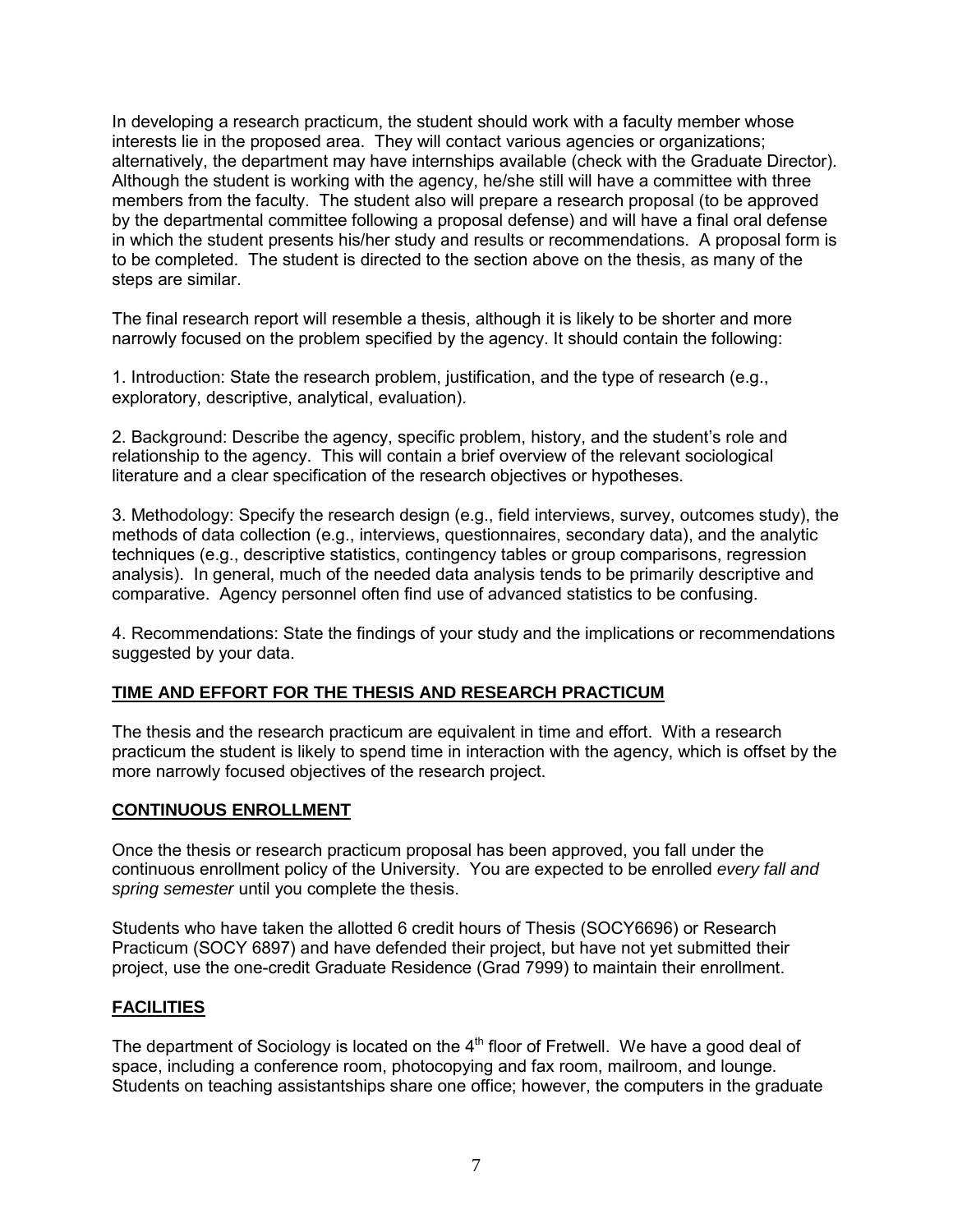In developing a research practicum, the student should work with a faculty member whose interests lie in the proposed area. They will contact various agencies or organizations; alternatively, the department may have internships available (check with the Graduate Director). Although the student is working with the agency, he/she still will have a committee with three members from the faculty. The student also will prepare a research proposal (to be approved by the departmental committee following a proposal defense) and will have a final oral defense in which the student presents his/her study and results or recommendations. A proposal form is to be completed. The student is directed to the section above on the thesis, as many of the steps are similar.

The final research report will resemble a thesis, although it is likely to be shorter and more narrowly focused on the problem specified by the agency. It should contain the following:

1. Introduction: State the research problem, justification, and the type of research (e.g., exploratory, descriptive, analytical, evaluation).

2. Background: Describe the agency, specific problem, history, and the student's role and relationship to the agency. This will contain a brief overview of the relevant sociological literature and a clear specification of the research objectives or hypotheses.

3. Methodology: Specify the research design (e.g., field interviews, survey, outcomes study), the methods of data collection (e.g., interviews, questionnaires, secondary data), and the analytic techniques (e.g., descriptive statistics, contingency tables or group comparisons, regression analysis). In general, much of the needed data analysis tends to be primarily descriptive and comparative. Agency personnel often find use of advanced statistics to be confusing.

4. Recommendations: State the findings of your study and the implications or recommendations suggested by your data.

## **TIME AND EFFORT FOR THE THESIS AND RESEARCH PRACTICUM**

The thesis and the research practicum are equivalent in time and effort. With a research practicum the student is likely to spend time in interaction with the agency, which is offset by the more narrowly focused objectives of the research project.

#### **CONTINUOUS ENROLLMENT**

Once the thesis or research practicum proposal has been approved, you fall under the continuous enrollment policy of the University. You are expected to be enrolled *every fall and spring semester* until you complete the thesis.

Students who have taken the allotted 6 credit hours of Thesis (SOCY6696) or Research Practicum (SOCY 6897) and have defended their project, but have not yet submitted their project, use the one-credit Graduate Residence (Grad 7999) to maintain their enrollment.

#### **FACILITIES**

The department of Sociology is located on the  $4<sup>th</sup>$  floor of Fretwell. We have a good deal of space, including a conference room, photocopying and fax room, mailroom, and lounge. Students on teaching assistantships share one office; however, the computers in the graduate